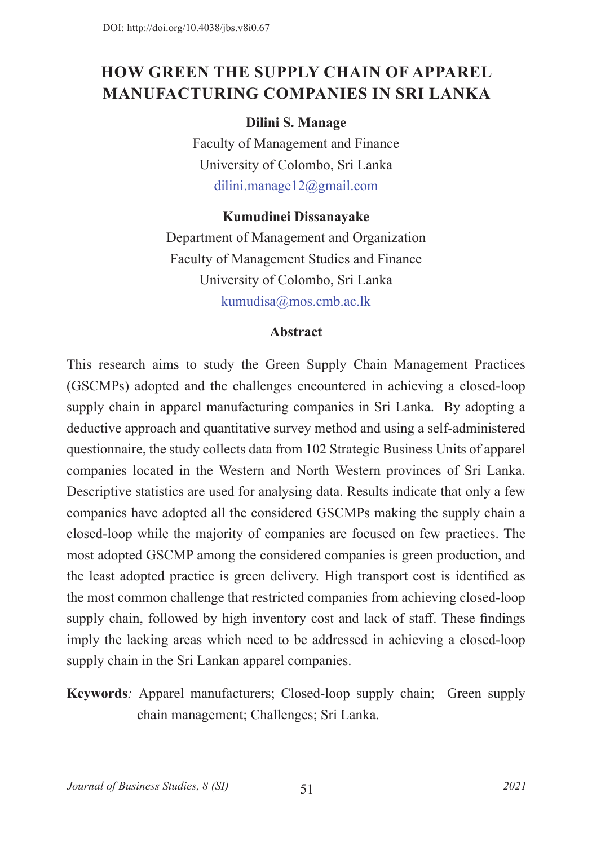## **HOW GREEN THE SUPPLY CHAIN OF APPAREL MANUFACTURING COMPANIES IN SRI LANKA**

## **Dilini S. Manage**

Faculty of Management and Finance University of Colombo, Sri Lanka dilini.manage12@gmail.com

#### **Kumudinei Dissanayake**

Department of Management and Organization Faculty of Management Studies and Finance University of Colombo, Sri Lanka kumudisa@mos.cmb.ac.lk

#### **Abstract**

This research aims to study the Green Supply Chain Management Practices (GSCMPs) adopted and the challenges encountered in achieving a closed-loop supply chain in apparel manufacturing companies in Sri Lanka. By adopting a deductive approach and quantitative survey method and using a self-administered questionnaire, the study collects data from 102 Strategic Business Units of apparel companies located in the Western and North Western provinces of Sri Lanka. Descriptive statistics are used for analysing data. Results indicate that only a few companies have adopted all the considered GSCMPs making the supply chain a closed-loop while the majority of companies are focused on few practices. The most adopted GSCMP among the considered companies is green production, and the least adopted practice is green delivery. High transport cost is identified as the most common challenge that restricted companies from achieving closed-loop supply chain, followed by high inventory cost and lack of staff. These findings imply the lacking areas which need to be addressed in achieving a closed-loop supply chain in the Sri Lankan apparel companies.

**Keywords***:* Apparel manufacturers; Closed-loop supply chain; Green supply chain management; Challenges; Sri Lanka.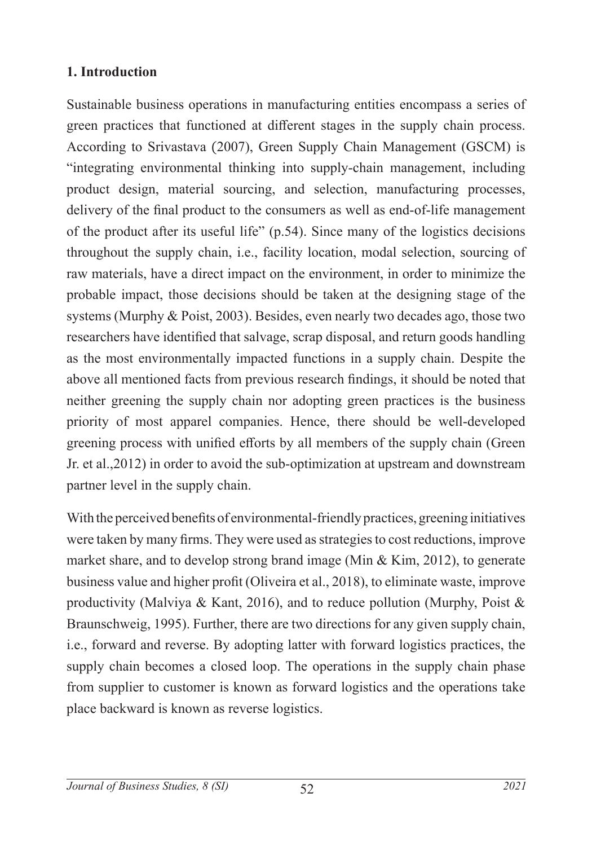#### **1. Introduction**

Sustainable business operations in manufacturing entities encompass a series of green practices that functioned at different stages in the supply chain process. According to Srivastava (2007), Green Supply Chain Management (GSCM) is "integrating environmental thinking into supply-chain management, including product design, material sourcing, and selection, manufacturing processes, delivery of the final product to the consumers as well as end-of-life management of the product after its useful life" (p.54). Since many of the logistics decisions throughout the supply chain, i.e., facility location, modal selection, sourcing of raw materials, have a direct impact on the environment, in order to minimize the probable impact, those decisions should be taken at the designing stage of the systems (Murphy & Poist, 2003). Besides, even nearly two decades ago, those two researchers have identified that salvage, scrap disposal, and return goods handling as the most environmentally impacted functions in a supply chain. Despite the above all mentioned facts from previous research findings, it should be noted that neither greening the supply chain nor adopting green practices is the business priority of most apparel companies. Hence, there should be well-developed greening process with unified efforts by all members of the supply chain (Green Jr. et al.,2012) in order to avoid the sub-optimization at upstream and downstream partner level in the supply chain.

With the perceived benefits of environmental-friendly practices, greening initiatives were taken by many firms. They were used as strategies to cost reductions, improve market share, and to develop strong brand image (Min & Kim, 2012), to generate business value and higher profit (Oliveira et al., 2018), to eliminate waste, improve productivity (Malviya & Kant, 2016), and to reduce pollution (Murphy, Poist & Braunschweig, 1995). Further, there are two directions for any given supply chain, i.e., forward and reverse. By adopting latter with forward logistics practices, the supply chain becomes a closed loop. The operations in the supply chain phase from supplier to customer is known as forward logistics and the operations take place backward is known as reverse logistics.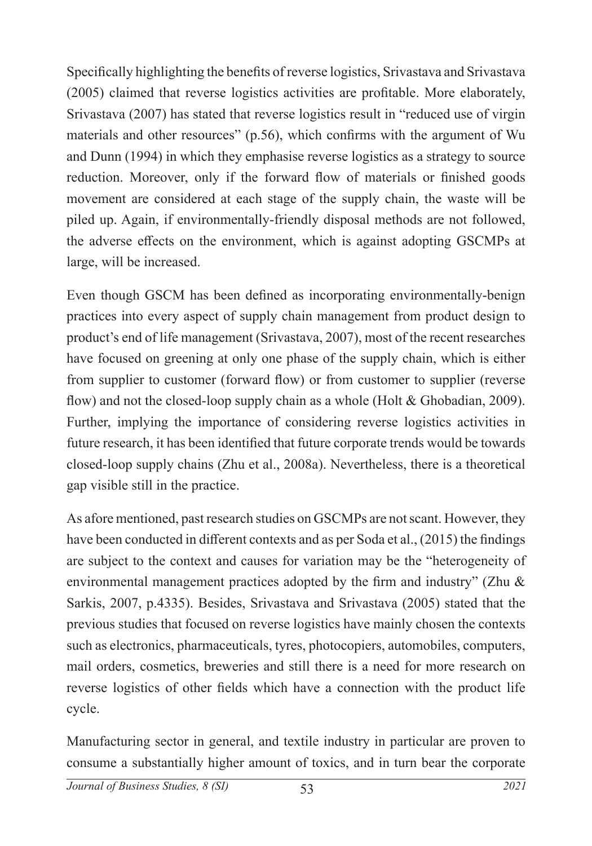Specifically highlighting the benefits of reverse logistics, Srivastava and Srivastava (2005) claimed that reverse logistics activities are profitable. More elaborately, Srivastava (2007) has stated that reverse logistics result in "reduced use of virgin materials and other resources" (p.56), which confirms with the argument of Wu and Dunn (1994) in which they emphasise reverse logistics as a strategy to source reduction. Moreover, only if the forward flow of materials or finished goods movement are considered at each stage of the supply chain, the waste will be piled up. Again, if environmentally-friendly disposal methods are not followed, the adverse effects on the environment, which is against adopting GSCMPs at large, will be increased.

Even though GSCM has been defined as incorporating environmentally-benign practices into every aspect of supply chain management from product design to product's end of life management (Srivastava, 2007), most of the recent researches have focused on greening at only one phase of the supply chain, which is either from supplier to customer (forward flow) or from customer to supplier (reverse flow) and not the closed-loop supply chain as a whole (Holt & Ghobadian, 2009). Further, implying the importance of considering reverse logistics activities in future research, it has been identified that future corporate trends would be towards closed-loop supply chains (Zhu et al., 2008a). Nevertheless, there is a theoretical gap visible still in the practice.

As afore mentioned, past research studies on GSCMPs are not scant. However, they have been conducted in different contexts and as per Soda et al., (2015) the findings are subject to the context and causes for variation may be the "heterogeneity of environmental management practices adopted by the firm and industry" (Zhu & Sarkis, 2007, p.4335). Besides, Srivastava and Srivastava (2005) stated that the previous studies that focused on reverse logistics have mainly chosen the contexts such as electronics, pharmaceuticals, tyres, photocopiers, automobiles, computers, mail orders, cosmetics, breweries and still there is a need for more research on reverse logistics of other fields which have a connection with the product life cycle.

Manufacturing sector in general, and textile industry in particular are proven to consume a substantially higher amount of toxics, and in turn bear the corporate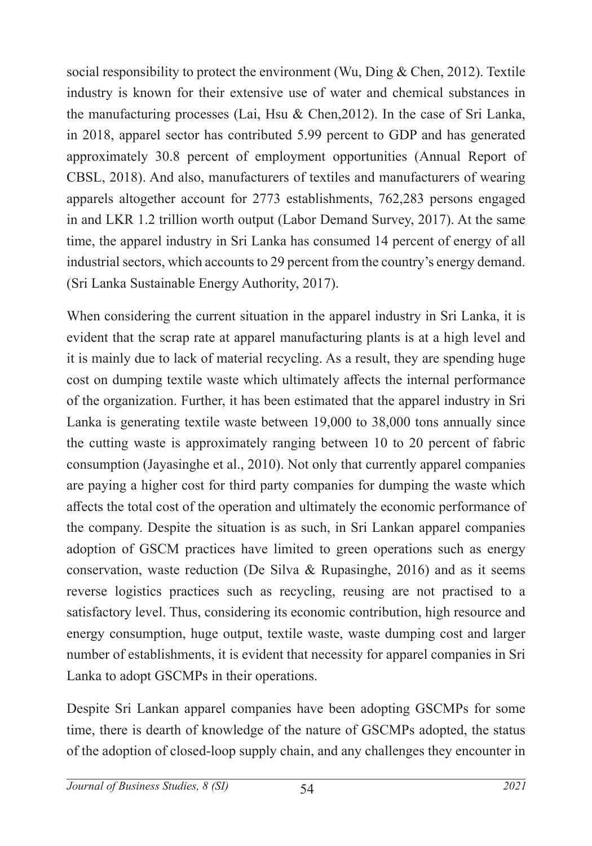social responsibility to protect the environment (Wu, Ding & Chen, 2012). Textile industry is known for their extensive use of water and chemical substances in the manufacturing processes (Lai, Hsu & Chen,2012). In the case of Sri Lanka, in 2018, apparel sector has contributed 5.99 percent to GDP and has generated approximately 30.8 percent of employment opportunities (Annual Report of CBSL, 2018). And also, manufacturers of textiles and manufacturers of wearing apparels altogether account for 2773 establishments, 762,283 persons engaged in and LKR 1.2 trillion worth output (Labor Demand Survey, 2017). At the same time, the apparel industry in Sri Lanka has consumed 14 percent of energy of all industrial sectors, which accounts to 29 percent from the country's energy demand. (Sri Lanka Sustainable Energy Authority, 2017).

When considering the current situation in the apparel industry in Sri Lanka, it is evident that the scrap rate at apparel manufacturing plants is at a high level and it is mainly due to lack of material recycling. As a result, they are spending huge cost on dumping textile waste which ultimately affects the internal performance of the organization. Further, it has been estimated that the apparel industry in Sri Lanka is generating textile waste between 19,000 to 38,000 tons annually since the cutting waste is approximately ranging between 10 to 20 percent of fabric consumption (Jayasinghe et al., 2010). Not only that currently apparel companies are paying a higher cost for third party companies for dumping the waste which affects the total cost of the operation and ultimately the economic performance of the company. Despite the situation is as such, in Sri Lankan apparel companies adoption of GSCM practices have limited to green operations such as energy conservation, waste reduction (De Silva & Rupasinghe, 2016) and as it seems reverse logistics practices such as recycling, reusing are not practised to a satisfactory level. Thus, considering its economic contribution, high resource and energy consumption, huge output, textile waste, waste dumping cost and larger number of establishments, it is evident that necessity for apparel companies in Sri Lanka to adopt GSCMPs in their operations.

Despite Sri Lankan apparel companies have been adopting GSCMPs for some time, there is dearth of knowledge of the nature of GSCMPs adopted, the status of the adoption of closed-loop supply chain, and any challenges they encounter in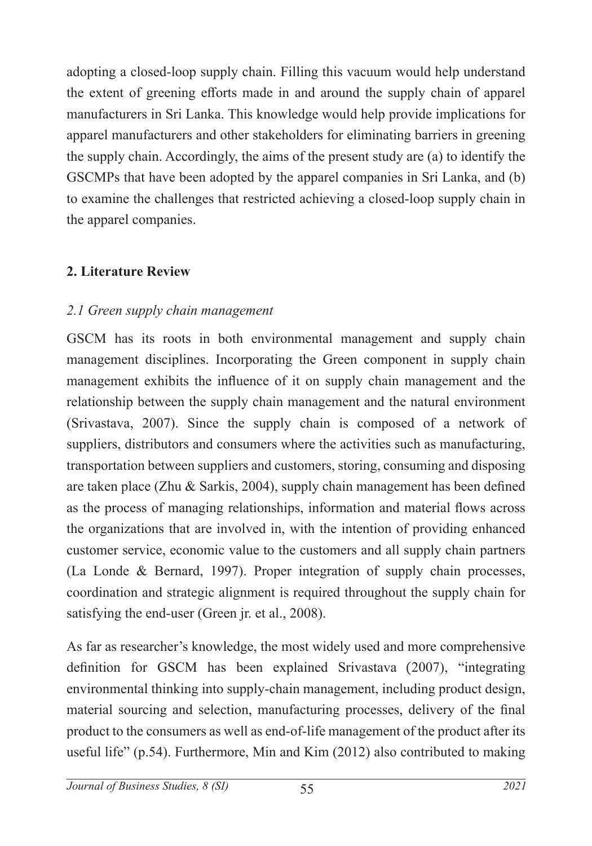adopting a closed-loop supply chain. Filling this vacuum would help understand the extent of greening efforts made in and around the supply chain of apparel manufacturers in Sri Lanka. This knowledge would help provide implications for apparel manufacturers and other stakeholders for eliminating barriers in greening the supply chain. Accordingly, the aims of the present study are (a) to identify the GSCMPs that have been adopted by the apparel companies in Sri Lanka, and (b) to examine the challenges that restricted achieving a closed-loop supply chain in the apparel companies.

## **2. Literature Review**

#### *2.1 Green supply chain management*

GSCM has its roots in both environmental management and supply chain management disciplines. Incorporating the Green component in supply chain management exhibits the influence of it on supply chain management and the relationship between the supply chain management and the natural environment (Srivastava, 2007). Since the supply chain is composed of a network of suppliers, distributors and consumers where the activities such as manufacturing, transportation between suppliers and customers, storing, consuming and disposing are taken place (Zhu & Sarkis, 2004), supply chain management has been defined as the process of managing relationships, information and material flows across the organizations that are involved in, with the intention of providing enhanced customer service, economic value to the customers and all supply chain partners (La Londe & Bernard, 1997). Proper integration of supply chain processes, coordination and strategic alignment is required throughout the supply chain for satisfying the end-user (Green jr. et al., 2008).

As far as researcher's knowledge, the most widely used and more comprehensive definition for GSCM has been explained Srivastava (2007), "integrating environmental thinking into supply-chain management, including product design, material sourcing and selection, manufacturing processes, delivery of the final product to the consumers as well as end-of-life management of the product after its useful life" (p.54). Furthermore, Min and Kim (2012) also contributed to making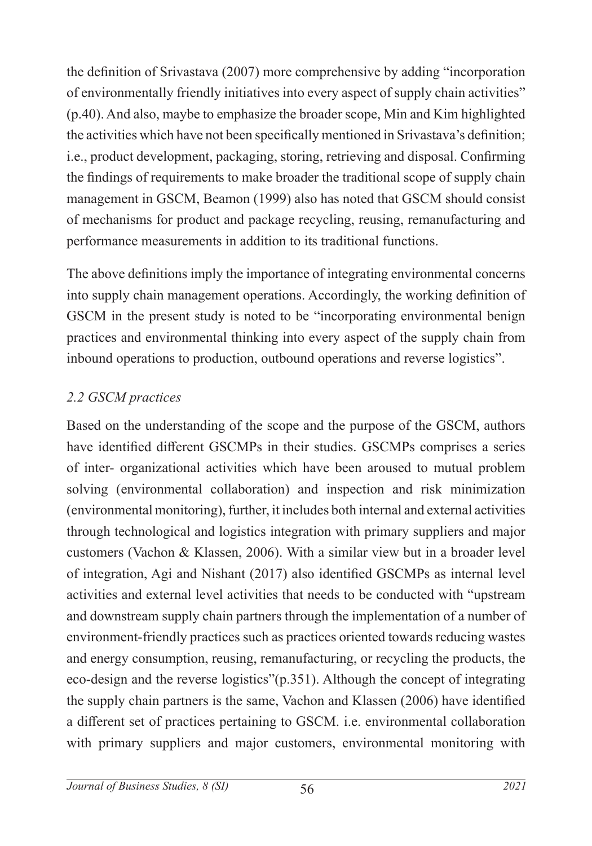the definition of Srivastava (2007) more comprehensive by adding "incorporation of environmentally friendly initiatives into every aspect of supply chain activities" (p.40). And also, maybe to emphasize the broader scope, Min and Kim highlighted the activities which have not been specifically mentioned in Srivastava's definition; i.e., product development, packaging, storing, retrieving and disposal. Confirming the findings of requirements to make broader the traditional scope of supply chain management in GSCM, Beamon (1999) also has noted that GSCM should consist of mechanisms for product and package recycling, reusing, remanufacturing and performance measurements in addition to its traditional functions.

The above definitions imply the importance of integrating environmental concerns into supply chain management operations. Accordingly, the working definition of GSCM in the present study is noted to be "incorporating environmental benign practices and environmental thinking into every aspect of the supply chain from inbound operations to production, outbound operations and reverse logistics".

## *2.2 GSCM practices*

Based on the understanding of the scope and the purpose of the GSCM, authors have identified different GSCMPs in their studies. GSCMPs comprises a series of inter- organizational activities which have been aroused to mutual problem solving (environmental collaboration) and inspection and risk minimization (environmental monitoring), further, it includes both internal and external activities through technological and logistics integration with primary suppliers and major customers (Vachon & Klassen, 2006). With a similar view but in a broader level of integration, Agi and Nishant (2017) also identified GSCMPs as internal level activities and external level activities that needs to be conducted with "upstream and downstream supply chain partners through the implementation of a number of environment-friendly practices such as practices oriented towards reducing wastes and energy consumption, reusing, remanufacturing, or recycling the products, the eco-design and the reverse logistics"(p.351). Although the concept of integrating the supply chain partners is the same, Vachon and Klassen (2006) have identified a different set of practices pertaining to GSCM. i.e. environmental collaboration with primary suppliers and major customers, environmental monitoring with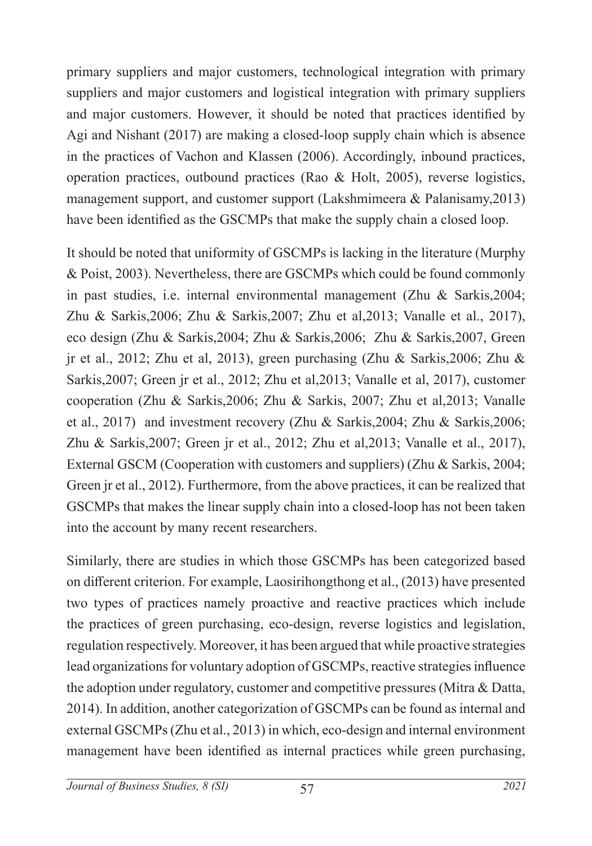primary suppliers and major customers, technological integration with primary suppliers and major customers and logistical integration with primary suppliers and major customers. However, it should be noted that practices identified by Agi and Nishant (2017) are making a closed-loop supply chain which is absence in the practices of Vachon and Klassen (2006). Accordingly, inbound practices, operation practices, outbound practices (Rao & Holt, 2005), reverse logistics, management support, and customer support (Lakshmimeera & Palanisamy,2013) have been identified as the GSCMPs that make the supply chain a closed loop.

It should be noted that uniformity of GSCMPs is lacking in the literature (Murphy & Poist, 2003). Nevertheless, there are GSCMPs which could be found commonly in past studies, i.e. internal environmental management (Zhu & Sarkis,2004; Zhu & Sarkis,2006; Zhu & Sarkis,2007; Zhu et al,2013; Vanalle et al., 2017), eco design (Zhu & Sarkis,2004; Zhu & Sarkis,2006; Zhu & Sarkis,2007, Green jr et al., 2012; Zhu et al, 2013), green purchasing (Zhu & Sarkis,2006; Zhu & Sarkis,2007; Green jr et al., 2012; Zhu et al,2013; Vanalle et al, 2017), customer cooperation (Zhu & Sarkis,2006; Zhu & Sarkis, 2007; Zhu et al,2013; Vanalle et al., 2017) and investment recovery (Zhu & Sarkis,2004; Zhu & Sarkis,2006; Zhu & Sarkis,2007; Green jr et al., 2012; Zhu et al,2013; Vanalle et al., 2017), External GSCM (Cooperation with customers and suppliers) (Zhu & Sarkis, 2004; Green jr et al., 2012). Furthermore, from the above practices, it can be realized that GSCMPs that makes the linear supply chain into a closed-loop has not been taken into the account by many recent researchers.

Similarly, there are studies in which those GSCMPs has been categorized based on different criterion. For example, Laosirihongthong et al., (2013) have presented two types of practices namely proactive and reactive practices which include the practices of green purchasing, eco-design, reverse logistics and legislation, regulation respectively. Moreover, it has been argued that while proactive strategies lead organizations for voluntary adoption of GSCMPs, reactive strategies influence the adoption under regulatory, customer and competitive pressures (Mitra & Datta, 2014). In addition, another categorization of GSCMPs can be found as internal and external GSCMPs (Zhu et al., 2013) in which, eco-design and internal environment management have been identified as internal practices while green purchasing,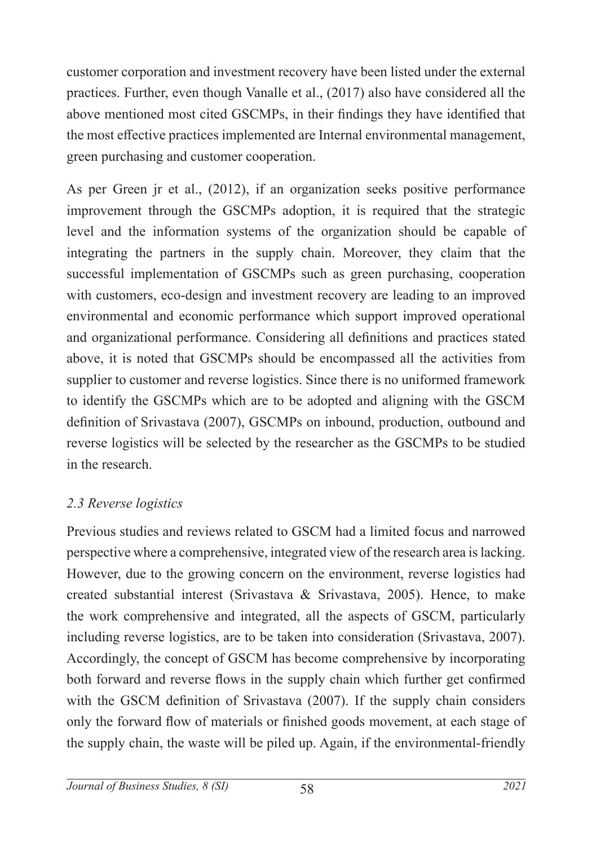customer corporation and investment recovery have been listed under the external practices. Further, even though Vanalle et al., (2017) also have considered all the above mentioned most cited GSCMPs, in their findings they have identified that the most effective practices implemented are Internal environmental management, green purchasing and customer cooperation.

As per Green jr et al., (2012), if an organization seeks positive performance improvement through the GSCMPs adoption, it is required that the strategic level and the information systems of the organization should be capable of integrating the partners in the supply chain. Moreover, they claim that the successful implementation of GSCMPs such as green purchasing, cooperation with customers, eco-design and investment recovery are leading to an improved environmental and economic performance which support improved operational and organizational performance. Considering all definitions and practices stated above, it is noted that GSCMPs should be encompassed all the activities from supplier to customer and reverse logistics. Since there is no uniformed framework to identify the GSCMPs which are to be adopted and aligning with the GSCM definition of Srivastava (2007), GSCMPs on inbound, production, outbound and reverse logistics will be selected by the researcher as the GSCMPs to be studied in the research.

## *2.3 Reverse logistics*

Previous studies and reviews related to GSCM had a limited focus and narrowed perspective where a comprehensive, integrated view of the research area is lacking. However, due to the growing concern on the environment, reverse logistics had created substantial interest (Srivastava & Srivastava, 2005). Hence, to make the work comprehensive and integrated, all the aspects of GSCM, particularly including reverse logistics, are to be taken into consideration (Srivastava, 2007). Accordingly, the concept of GSCM has become comprehensive by incorporating both forward and reverse flows in the supply chain which further get confirmed with the GSCM definition of Srivastava (2007). If the supply chain considers only the forward flow of materials or finished goods movement, at each stage of the supply chain, the waste will be piled up. Again, if the environmental-friendly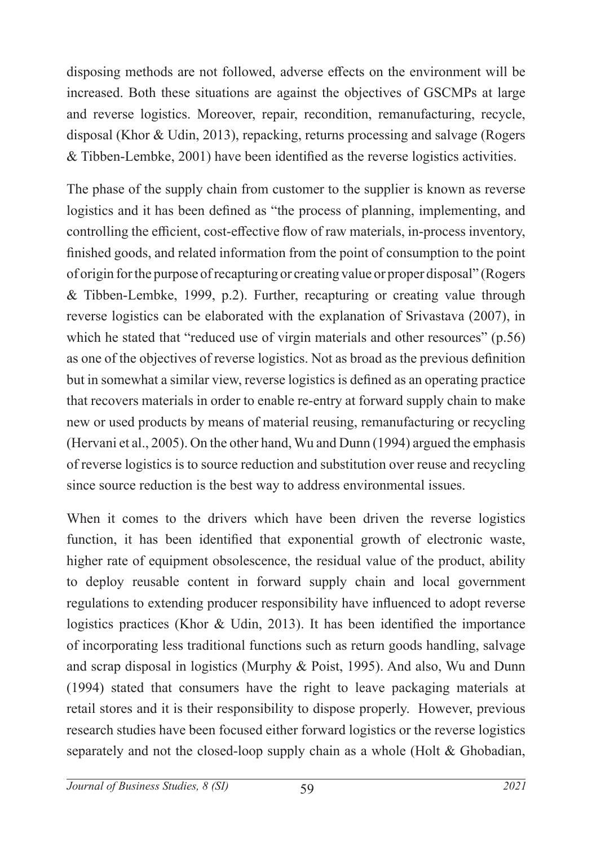disposing methods are not followed, adverse effects on the environment will be increased. Both these situations are against the objectives of GSCMPs at large and reverse logistics. Moreover, repair, recondition, remanufacturing, recycle, disposal (Khor & Udin, 2013), repacking, returns processing and salvage (Rogers & Tibben-Lembke, 2001) have been identified as the reverse logistics activities.

The phase of the supply chain from customer to the supplier is known as reverse logistics and it has been defined as "the process of planning, implementing, and controlling the efficient, cost-effective flow of raw materials, in-process inventory, finished goods, and related information from the point of consumption to the point of origin for the purpose of recapturing or creating value or proper disposal" (Rogers & Tibben-Lembke, 1999, p.2). Further, recapturing or creating value through reverse logistics can be elaborated with the explanation of Srivastava (2007), in which he stated that "reduced use of virgin materials and other resources" (p.56) as one of the objectives of reverse logistics. Not as broad as the previous definition but in somewhat a similar view, reverse logistics is defined as an operating practice that recovers materials in order to enable re-entry at forward supply chain to make new or used products by means of material reusing, remanufacturing or recycling (Hervani et al., 2005). On the other hand, Wu and Dunn (1994) argued the emphasis of reverse logistics is to source reduction and substitution over reuse and recycling since source reduction is the best way to address environmental issues.

When it comes to the drivers which have been driven the reverse logistics function, it has been identified that exponential growth of electronic waste, higher rate of equipment obsolescence, the residual value of the product, ability to deploy reusable content in forward supply chain and local government regulations to extending producer responsibility have influenced to adopt reverse logistics practices (Khor & Udin, 2013). It has been identified the importance of incorporating less traditional functions such as return goods handling, salvage and scrap disposal in logistics (Murphy & Poist, 1995). And also, Wu and Dunn (1994) stated that consumers have the right to leave packaging materials at retail stores and it is their responsibility to dispose properly. However, previous research studies have been focused either forward logistics or the reverse logistics separately and not the closed-loop supply chain as a whole (Holt & Ghobadian,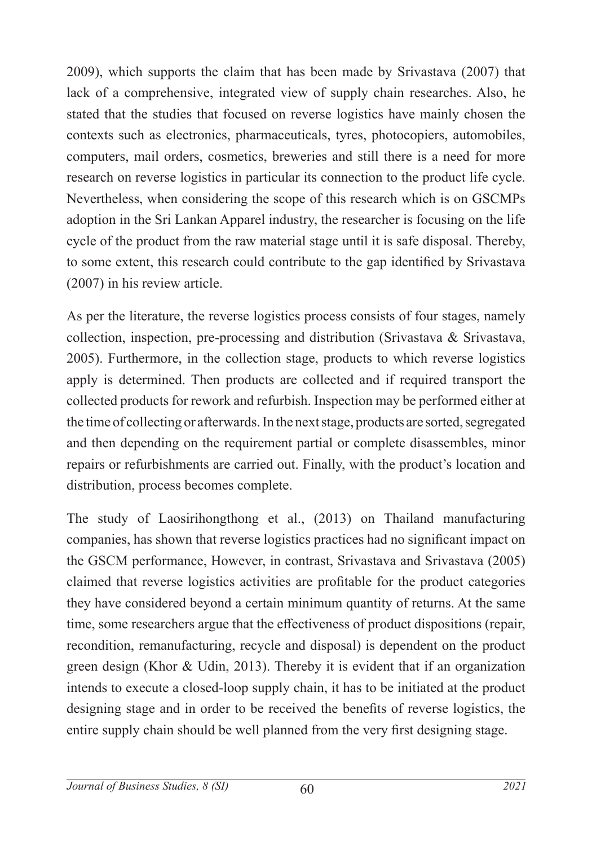2009), which supports the claim that has been made by Srivastava (2007) that lack of a comprehensive, integrated view of supply chain researches. Also, he stated that the studies that focused on reverse logistics have mainly chosen the contexts such as electronics, pharmaceuticals, tyres, photocopiers, automobiles, computers, mail orders, cosmetics, breweries and still there is a need for more research on reverse logistics in particular its connection to the product life cycle. Nevertheless, when considering the scope of this research which is on GSCMPs adoption in the Sri Lankan Apparel industry, the researcher is focusing on the life cycle of the product from the raw material stage until it is safe disposal. Thereby, to some extent, this research could contribute to the gap identified by Srivastava (2007) in his review article.

As per the literature, the reverse logistics process consists of four stages, namely collection, inspection, pre-processing and distribution (Srivastava & Srivastava, 2005). Furthermore, in the collection stage, products to which reverse logistics apply is determined. Then products are collected and if required transport the collected products for rework and refurbish. Inspection may be performed either at the time of collecting or afterwards. In the next stage, products are sorted, segregated and then depending on the requirement partial or complete disassembles, minor repairs or refurbishments are carried out. Finally, with the product's location and distribution, process becomes complete.

The study of Laosirihongthong et al., (2013) on Thailand manufacturing companies, has shown that reverse logistics practices had no significant impact on the GSCM performance, However, in contrast, Srivastava and Srivastava (2005) claimed that reverse logistics activities are profitable for the product categories they have considered beyond a certain minimum quantity of returns. At the same time, some researchers argue that the effectiveness of product dispositions (repair, recondition, remanufacturing, recycle and disposal) is dependent on the product green design (Khor & Udin, 2013). Thereby it is evident that if an organization intends to execute a closed-loop supply chain, it has to be initiated at the product designing stage and in order to be received the benefits of reverse logistics, the entire supply chain should be well planned from the very first designing stage.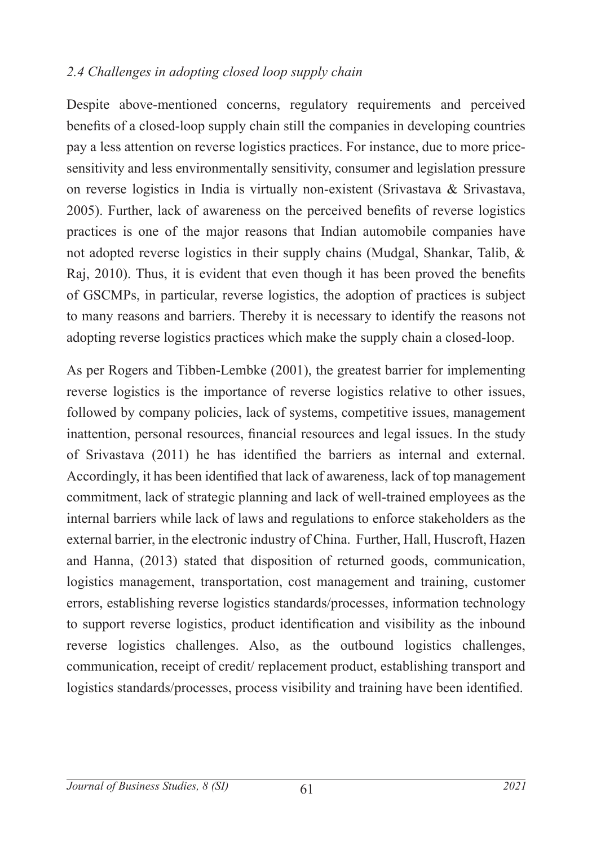#### *2.4 Challenges in adopting closed loop supply chain*

Despite above-mentioned concerns, regulatory requirements and perceived benefits of a closed-loop supply chain still the companies in developing countries pay a less attention on reverse logistics practices. For instance, due to more pricesensitivity and less environmentally sensitivity, consumer and legislation pressure on reverse logistics in India is virtually non-existent (Srivastava & Srivastava, 2005). Further, lack of awareness on the perceived benefits of reverse logistics practices is one of the major reasons that Indian automobile companies have not adopted reverse logistics in their supply chains (Mudgal, Shankar, Talib, & Raj, 2010). Thus, it is evident that even though it has been proved the benefits of GSCMPs, in particular, reverse logistics, the adoption of practices is subject to many reasons and barriers. Thereby it is necessary to identify the reasons not adopting reverse logistics practices which make the supply chain a closed-loop.

As per Rogers and Tibben-Lembke (2001), the greatest barrier for implementing reverse logistics is the importance of reverse logistics relative to other issues, followed by company policies, lack of systems, competitive issues, management inattention, personal resources, financial resources and legal issues. In the study of Srivastava (2011) he has identified the barriers as internal and external. Accordingly, it has been identified that lack of awareness, lack of top management commitment, lack of strategic planning and lack of well-trained employees as the internal barriers while lack of laws and regulations to enforce stakeholders as the external barrier, in the electronic industry of China. Further, Hall, Huscroft, Hazen and Hanna, (2013) stated that disposition of returned goods, communication, logistics management, transportation, cost management and training, customer errors, establishing reverse logistics standards/processes, information technology to support reverse logistics, product identification and visibility as the inbound reverse logistics challenges. Also, as the outbound logistics challenges, communication, receipt of credit/ replacement product, establishing transport and logistics standards/processes, process visibility and training have been identified.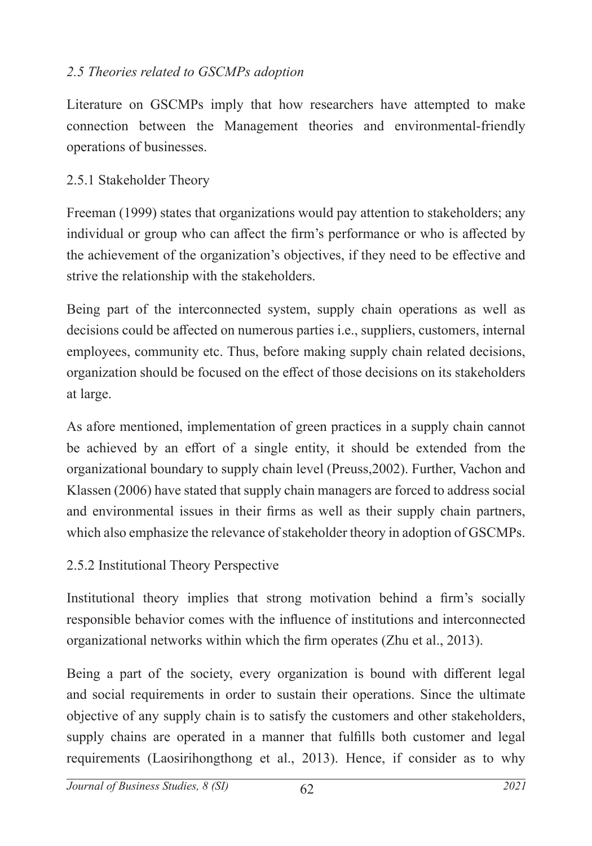## *2.5 Theories related to GSCMPs adoption*

Literature on GSCMPs imply that how researchers have attempted to make connection between the Management theories and environmental-friendly operations of businesses.

## 2.5.1 Stakeholder Theory

Freeman (1999) states that organizations would pay attention to stakeholders; any individual or group who can affect the firm's performance or who is affected by the achievement of the organization's objectives, if they need to be effective and strive the relationship with the stakeholders.

Being part of the interconnected system, supply chain operations as well as decisions could be affected on numerous parties i.e., suppliers, customers, internal employees, community etc. Thus, before making supply chain related decisions, organization should be focused on the effect of those decisions on its stakeholders at large.

As afore mentioned, implementation of green practices in a supply chain cannot be achieved by an effort of a single entity, it should be extended from the organizational boundary to supply chain level (Preuss,2002). Further, Vachon and Klassen (2006) have stated that supply chain managers are forced to address social and environmental issues in their firms as well as their supply chain partners, which also emphasize the relevance of stakeholder theory in adoption of GSCMPs.

## 2.5.2 Institutional Theory Perspective

Institutional theory implies that strong motivation behind a firm's socially responsible behavior comes with the influence of institutions and interconnected organizational networks within which the firm operates (Zhu et al., 2013).

Being a part of the society, every organization is bound with different legal and social requirements in order to sustain their operations. Since the ultimate objective of any supply chain is to satisfy the customers and other stakeholders, supply chains are operated in a manner that fulfills both customer and legal requirements (Laosirihongthong et al., 2013). Hence, if consider as to why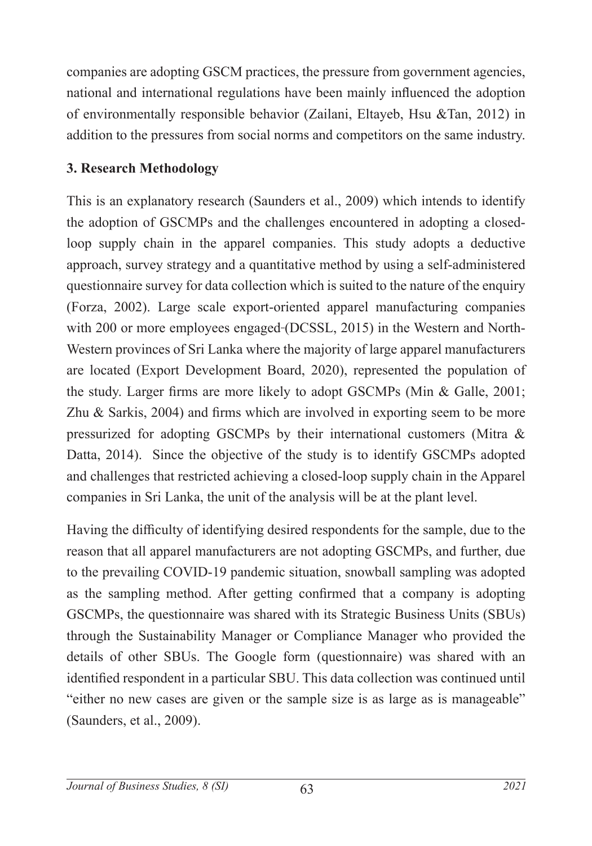companies are adopting GSCM practices, the pressure from government agencies, national and international regulations have been mainly influenced the adoption of environmentally responsible behavior (Zailani, Eltayeb, Hsu &Tan, 2012) in addition to the pressures from social norms and competitors on the same industry.

## **3. Research Methodology**

This is an explanatory research (Saunders et al., 2009) which intends to identify the adoption of GSCMPs and the challenges encountered in adopting a closedloop supply chain in the apparel companies. This study adopts a deductive approach, survey strategy and a quantitative method by using a self-administered questionnaire survey for data collection which is suited to the nature of the enquiry (Forza, 2002). Large scale export-oriented apparel manufacturing companies with 200 or more employees engaged (DCSSL, 2015) in the Western and North-Western provinces of Sri Lanka where the majority of large apparel manufacturers are located (Export Development Board, 2020), represented the population of the study. Larger firms are more likely to adopt GSCMPs (Min & Galle, 2001; Zhu & Sarkis, 2004) and firms which are involved in exporting seem to be more pressurized for adopting GSCMPs by their international customers (Mitra & Datta, 2014). Since the objective of the study is to identify GSCMPs adopted and challenges that restricted achieving a closed-loop supply chain in the Apparel companies in Sri Lanka, the unit of the analysis will be at the plant level.

Having the difficulty of identifying desired respondents for the sample, due to the reason that all apparel manufacturers are not adopting GSCMPs, and further, due to the prevailing COVID-19 pandemic situation, snowball sampling was adopted as the sampling method. After getting confirmed that a company is adopting GSCMPs, the questionnaire was shared with its Strategic Business Units (SBUs) through the Sustainability Manager or Compliance Manager who provided the details of other SBUs. The Google form (questionnaire) was shared with an identified respondent in a particular SBU. This data collection was continued until "either no new cases are given or the sample size is as large as is manageable" (Saunders, et al., 2009).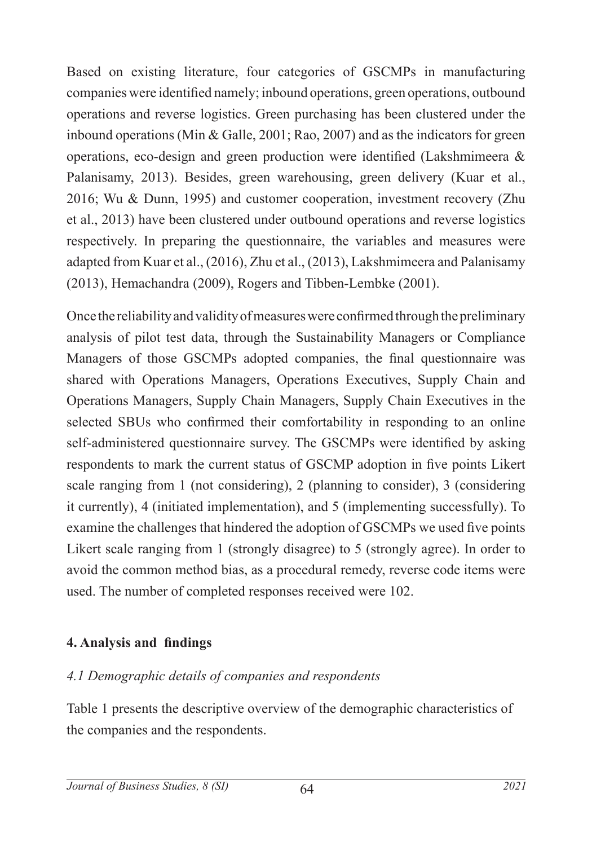Based on existing literature, four categories of GSCMPs in manufacturing companies were identified namely; inbound operations, green operations, outbound operations and reverse logistics. Green purchasing has been clustered under the inbound operations (Min & Galle, 2001; Rao, 2007) and as the indicators for green operations, eco-design and green production were identified (Lakshmimeera & Palanisamy, 2013). Besides, green warehousing, green delivery (Kuar et al., 2016; Wu & Dunn, 1995) and customer cooperation, investment recovery (Zhu et al., 2013) have been clustered under outbound operations and reverse logistics respectively. In preparing the questionnaire, the variables and measures were adapted from Kuar et al., (2016), Zhu et al., (2013), Lakshmimeera and Palanisamy (2013), Hemachandra (2009), Rogers and Tibben-Lembke (2001).

Once the reliability and validity of measures were confirmed through the preliminary analysis of pilot test data, through the Sustainability Managers or Compliance Managers of those GSCMPs adopted companies, the final questionnaire was shared with Operations Managers, Operations Executives, Supply Chain and Operations Managers, Supply Chain Managers, Supply Chain Executives in the selected SBUs who confirmed their comfortability in responding to an online self-administered questionnaire survey. The GSCMPs were identified by asking respondents to mark the current status of GSCMP adoption in five points Likert scale ranging from 1 (not considering), 2 (planning to consider), 3 (considering it currently), 4 (initiated implementation), and 5 (implementing successfully). To examine the challenges that hindered the adoption of GSCMPs we used five points Likert scale ranging from 1 (strongly disagree) to 5 (strongly agree). In order to avoid the common method bias, as a procedural remedy, reverse code items were used. The number of completed responses received were 102.

## **4. Analysis and findings**

## *4.1 Demographic details of companies and respondents*

Table 1 presents the descriptive overview of the demographic characteristics of the companies and the respondents.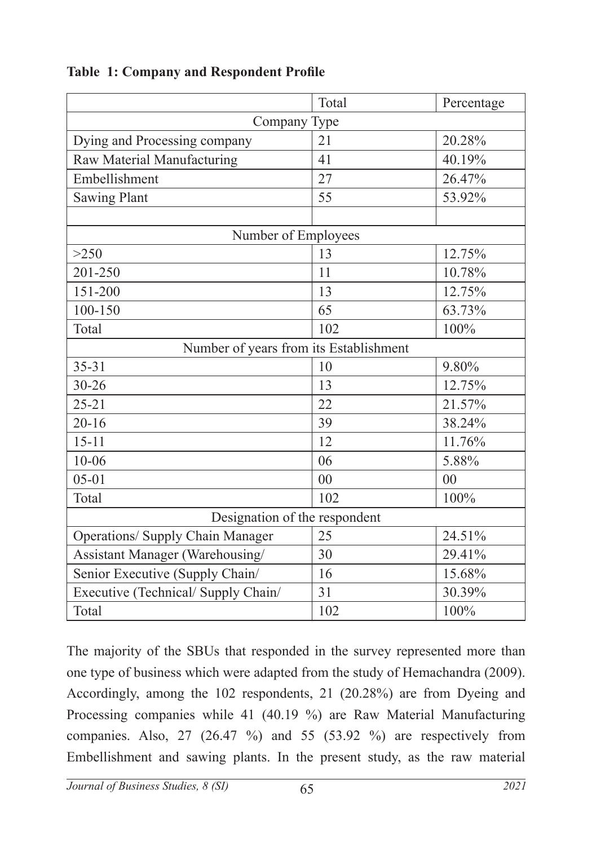|                                         | Total | Percentage |  |  |
|-----------------------------------------|-------|------------|--|--|
| Company Type                            |       |            |  |  |
| Dying and Processing company            | 21    | 20.28%     |  |  |
| Raw Material Manufacturing              | 41    | 40.19%     |  |  |
| Embellishment                           | 27    | 26.47%     |  |  |
| <b>Sawing Plant</b>                     | 55    | 53.92%     |  |  |
|                                         |       |            |  |  |
| Number of Employees                     |       |            |  |  |
| >250                                    | 13    | 12.75%     |  |  |
| 201-250                                 | 11    | 10.78%     |  |  |
| 151-200                                 | 13    | 12.75%     |  |  |
| $100 - 150$                             | 65    | 63.73%     |  |  |
| Total                                   | 102   | 100%       |  |  |
| Number of years from its Establishment  |       |            |  |  |
| $35 - 31$                               | 10    | 9.80%      |  |  |
| $30 - 26$                               | 13    | 12.75%     |  |  |
| $25 - 21$                               | 22    | 21.57%     |  |  |
| $20 - 16$                               | 39    | 38.24%     |  |  |
| $15 - 11$                               | 12    | 11.76%     |  |  |
| $10 - 06$                               | 06    | 5.88%      |  |  |
| $05 - 01$                               | 00    | 00         |  |  |
| Total                                   | 102   | 100%       |  |  |
| Designation of the respondent           |       |            |  |  |
| <b>Operations/ Supply Chain Manager</b> | 25    | 24.51%     |  |  |
| Assistant Manager (Warehousing/         | 30    | 29.41%     |  |  |
| Senior Executive (Supply Chain/         | 16    | 15.68%     |  |  |
| Executive (Technical/ Supply Chain/     | 31    | 30.39%     |  |  |
| Total                                   | 102   | 100%       |  |  |

#### **Table 1: Company and Respondent Profile**

The majority of the SBUs that responded in the survey represented more than one type of business which were adapted from the study of Hemachandra (2009). Accordingly, among the 102 respondents, 21 (20.28%) are from Dyeing and Processing companies while 41 (40.19 %) are Raw Material Manufacturing companies. Also, 27 (26.47 %) and 55 (53.92 %) are respectively from Embellishment and sawing plants. In the present study, as the raw material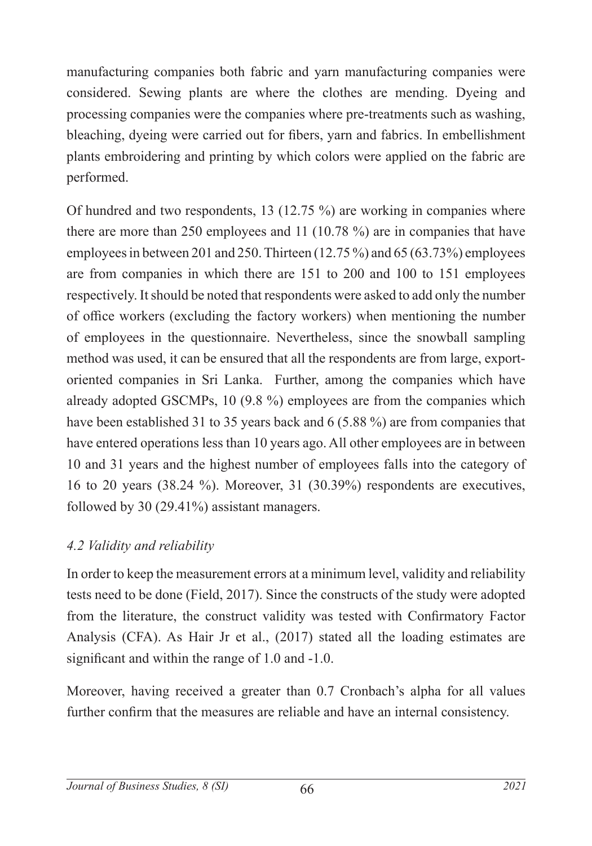manufacturing companies both fabric and yarn manufacturing companies were considered. Sewing plants are where the clothes are mending. Dyeing and processing companies were the companies where pre-treatments such as washing, bleaching, dyeing were carried out for fibers, yarn and fabrics. In embellishment plants embroidering and printing by which colors were applied on the fabric are performed.

Of hundred and two respondents, 13 (12.75 %) are working in companies where there are more than 250 employees and 11 (10.78 %) are in companies that have employees in between 201 and 250. Thirteen (12.75 %) and 65 (63.73%) employees are from companies in which there are 151 to 200 and 100 to 151 employees respectively. It should be noted that respondents were asked to add only the number of office workers (excluding the factory workers) when mentioning the number of employees in the questionnaire. Nevertheless, since the snowball sampling method was used, it can be ensured that all the respondents are from large, exportoriented companies in Sri Lanka. Further, among the companies which have already adopted GSCMPs, 10 (9.8 %) employees are from the companies which have been established 31 to 35 years back and 6 (5.88 %) are from companies that have entered operations less than 10 years ago. All other employees are in between 10 and 31 years and the highest number of employees falls into the category of 16 to 20 years (38.24 %). Moreover, 31 (30.39%) respondents are executives, followed by 30 (29.41%) assistant managers.

## *4.2 Validity and reliability*

In order to keep the measurement errors at a minimum level, validity and reliability tests need to be done (Field, 2017). Since the constructs of the study were adopted from the literature, the construct validity was tested with Confirmatory Factor Analysis (CFA). As Hair Jr et al., (2017) stated all the loading estimates are significant and within the range of 1.0 and -1.0.

Moreover, having received a greater than 0.7 Cronbach's alpha for all values further confirm that the measures are reliable and have an internal consistency.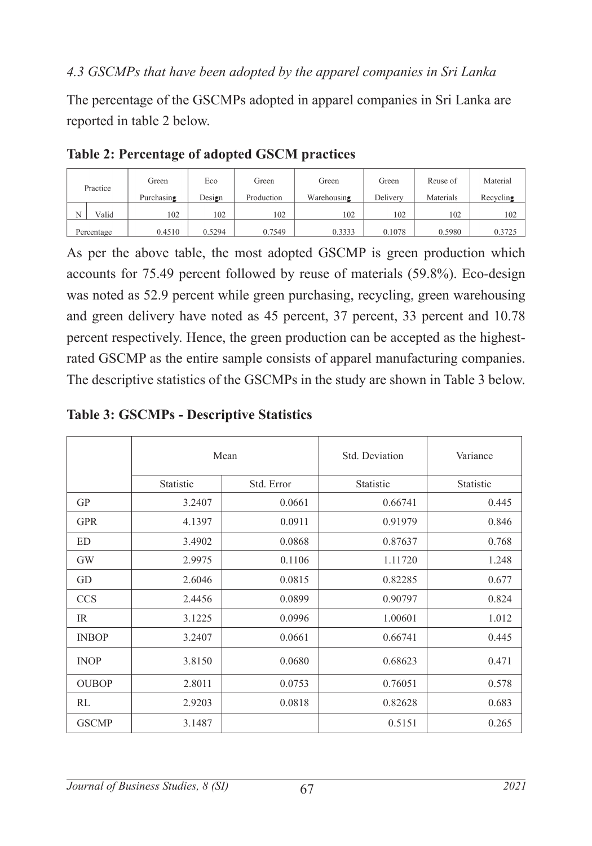#### *4.3 GSCMPs that have been adopted by the apparel companies in Sri Lanka*

The percentage of the GSCMPs adopted in apparel companies in Sri Lanka are reported in table 2 below.

|   | Practice   | Green<br>Purchasing | Eco<br>Design | Green<br>Production | Green<br>Warehousing | Green<br>Delivery | Reuse of<br>Materials | Material<br>Recvcling |
|---|------------|---------------------|---------------|---------------------|----------------------|-------------------|-----------------------|-----------------------|
| N | Valid      | 102                 | 102           | 102                 | 102                  | 102               | 102                   | 102                   |
|   | Percentage | 0.4510              | 0.5294        | 0.7549              | 0.3333               | 0.1078            | 0.5980                | 0.3725                |

#### **Table 2: Percentage of adopted GSCM practices**

As per the above table, the most adopted GSCMP is green production which accounts for 75.49 percent followed by reuse of materials (59.8%). Eco-design was noted as 52.9 percent while green purchasing, recycling, green warehousing and green delivery have noted as 45 percent, 37 percent, 33 percent and 10.78 percent respectively. Hence, the green production can be accepted as the highestrated GSCMP as the entire sample consists of apparel manufacturing companies. The descriptive statistics of the GSCMPs in the study are shown in Table 3 below.

# **Table 3: GSCMPs - Descriptive Statistics**

|              | Mean      |            | Std. Deviation | Variance  |
|--------------|-----------|------------|----------------|-----------|
|              | Statistic | Std. Error | Statistic      | Statistic |
| <b>GP</b>    | 3.2407    | 0.0661     | 0.66741        | 0.445     |
| <b>GPR</b>   | 4.1397    | 0.0911     | 0.91979        | 0.846     |
| ED           | 3.4902    | 0.0868     | 0.87637        | 0.768     |
| <b>GW</b>    | 2.9975    | 0.1106     | 1.11720        | 1.248     |
| GD           | 2.6046    | 0.0815     | 0.82285        | 0.677     |
| <b>CCS</b>   | 2.4456    | 0.0899     | 0.90797        | 0.824     |
| IR.          | 3.1225    | 0.0996     | 1.00601        | 1.012     |
| <b>INBOP</b> | 3.2407    | 0.0661     | 0.66741        | 0.445     |
| <b>INOP</b>  | 3.8150    | 0.0680     | 0.68623        | 0.471     |
| <b>OUBOP</b> | 2.8011    | 0.0753     | 0.76051        | 0.578     |
| RL           | 2.9203    | 0.0818     | 0.82628        | 0.683     |
| <b>GSCMP</b> | 3.1487    |            | 0.5151         | 0.265     |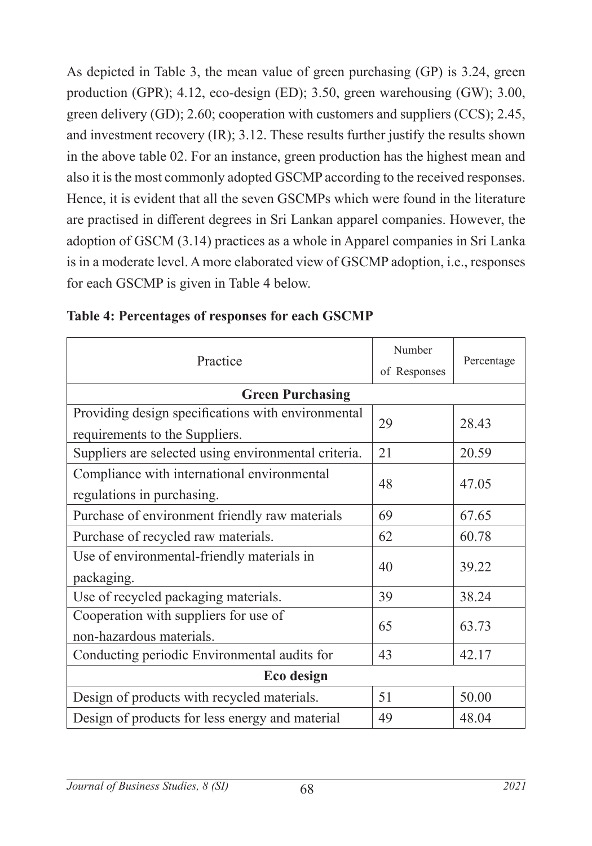As depicted in Table 3, the mean value of green purchasing (GP) is 3.24, green production (GPR); 4.12, eco-design (ED); 3.50, green warehousing (GW); 3.00, green delivery (GD); 2.60; cooperation with customers and suppliers (CCS); 2.45, and investment recovery (IR); 3.12. These results further justify the results shown in the above table 02. For an instance, green production has the highest mean and also it is the most commonly adopted GSCMP according to the received responses. Hence, it is evident that all the seven GSCMPs which were found in the literature are practised in different degrees in Sri Lankan apparel companies. However, the adoption of GSCM (3.14) practices as a whole in Apparel companies in Sri Lanka is in a moderate level. A more elaborated view of GSCMP adoption, i.e., responses for each GSCMP is given in Table 4 below.

| Practice                                                                             | Number<br>of Responses | Percentage |  |
|--------------------------------------------------------------------------------------|------------------------|------------|--|
| <b>Green Purchasing</b>                                                              |                        |            |  |
| Providing design specifications with environmental<br>requirements to the Suppliers. | 29                     | 28.43      |  |
| Suppliers are selected using environmental criteria.                                 | 21                     | 20.59      |  |
| Compliance with international environmental<br>regulations in purchasing.            | 48                     | 47.05      |  |
| Purchase of environment friendly raw materials                                       | 69                     | 67.65      |  |
| Purchase of recycled raw materials.                                                  | 62                     | 60.78      |  |
| Use of environmental-friendly materials in<br>packaging.                             | 40                     | 39.22      |  |
| Use of recycled packaging materials.                                                 | 39                     | 38.24      |  |
| Cooperation with suppliers for use of<br>non-hazardous materials.                    | 65                     | 63.73      |  |
| Conducting periodic Environmental audits for                                         | 43                     | 42.17      |  |
| Eco design                                                                           |                        |            |  |
| Design of products with recycled materials.                                          | 51                     | 50.00      |  |
| Design of products for less energy and material                                      | 49                     | 48.04      |  |

|  | Table 4: Percentages of responses for each GSCMP |  |  |  |
|--|--------------------------------------------------|--|--|--|
|--|--------------------------------------------------|--|--|--|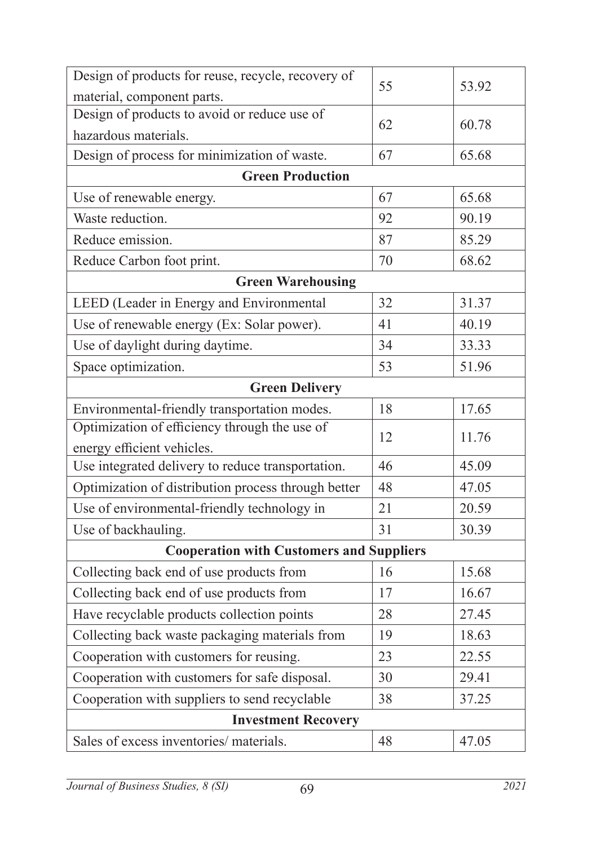| Design of products for reuse, recycle, recovery of  | 55 | 53.92 |  |
|-----------------------------------------------------|----|-------|--|
| material, component parts.                          |    |       |  |
| Design of products to avoid or reduce use of        | 62 | 60.78 |  |
| hazardous materials.                                |    |       |  |
| Design of process for minimization of waste.        | 67 | 65.68 |  |
| <b>Green Production</b>                             |    |       |  |
| Use of renewable energy.                            | 67 | 65.68 |  |
| Waste reduction.                                    | 92 | 90.19 |  |
| Reduce emission.                                    | 87 | 85.29 |  |
| Reduce Carbon foot print.                           | 70 | 68.62 |  |
| <b>Green Warehousing</b>                            |    |       |  |
| LEED (Leader in Energy and Environmental            | 32 | 31.37 |  |
| Use of renewable energy (Ex: Solar power).          | 41 | 40.19 |  |
| Use of daylight during daytime.                     | 34 | 33.33 |  |
| Space optimization.                                 | 53 | 51.96 |  |
| <b>Green Delivery</b>                               |    |       |  |
| Environmental-friendly transportation modes.        | 18 | 17.65 |  |
| Optimization of efficiency through the use of       | 12 | 11.76 |  |
| energy efficient vehicles.                          |    |       |  |
| Use integrated delivery to reduce transportation.   | 46 | 45.09 |  |
| Optimization of distribution process through better | 48 | 47.05 |  |
| Use of environmental-friendly technology in         | 21 | 20.59 |  |
| Use of backhauling.                                 | 31 | 30.39 |  |
| <b>Cooperation with Customers and Suppliers</b>     |    |       |  |
| Collecting back end of use products from            | 16 | 15.68 |  |
| Collecting back end of use products from            | 17 | 16.67 |  |
| Have recyclable products collection points          | 28 | 27.45 |  |
| Collecting back waste packaging materials from      | 19 | 18.63 |  |
| Cooperation with customers for reusing.             | 23 | 22.55 |  |
| Cooperation with customers for safe disposal.       | 30 | 29.41 |  |
| Cooperation with suppliers to send recyclable       | 38 | 37.25 |  |
| <b>Investment Recovery</b>                          |    |       |  |
| Sales of excess inventories/ materials.             | 48 | 47.05 |  |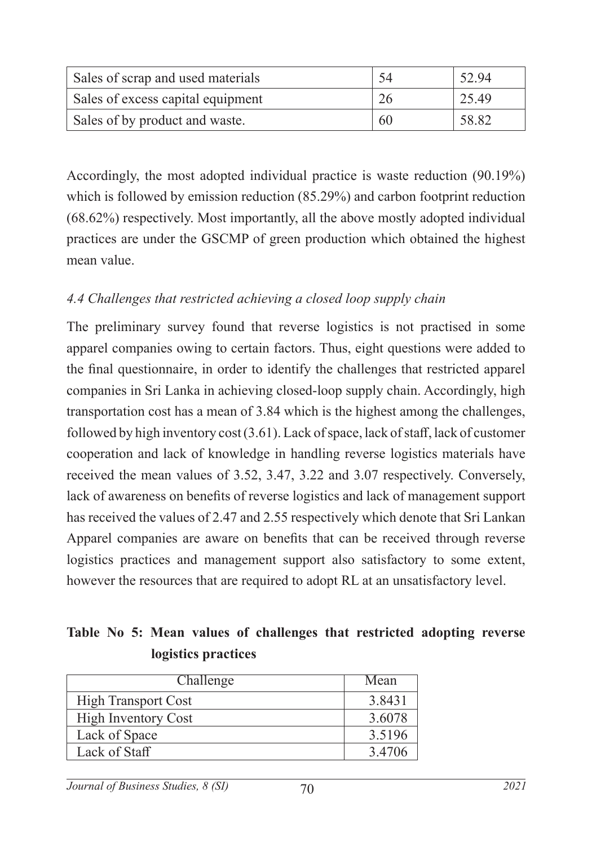| Sales of scrap and used materials |     | 52.94 |
|-----------------------------------|-----|-------|
| Sales of excess capital equipment |     | 25.49 |
| Sales of by product and waste.    | -60 | 58.82 |

Accordingly, the most adopted individual practice is waste reduction (90.19%) which is followed by emission reduction (85.29%) and carbon footprint reduction (68.62%) respectively. Most importantly, all the above mostly adopted individual practices are under the GSCMP of green production which obtained the highest mean value.

## *4.4 Challenges that restricted achieving a closed loop supply chain*

The preliminary survey found that reverse logistics is not practised in some apparel companies owing to certain factors. Thus, eight questions were added to the final questionnaire, in order to identify the challenges that restricted apparel companies in Sri Lanka in achieving closed-loop supply chain. Accordingly, high transportation cost has a mean of 3.84 which is the highest among the challenges, followed by high inventory cost (3.61). Lack of space, lack of staff, lack of customer cooperation and lack of knowledge in handling reverse logistics materials have received the mean values of 3.52, 3.47, 3.22 and 3.07 respectively. Conversely, lack of awareness on benefits of reverse logistics and lack of management support has received the values of 2.47 and 2.55 respectively which denote that Sri Lankan Apparel companies are aware on benefits that can be received through reverse logistics practices and management support also satisfactory to some extent, however the resources that are required to adopt RL at an unsatisfactory level.

## **Table No 5: Mean values of challenges that restricted adopting reverse logistics practices**

| Challenge                  | Mean   |
|----------------------------|--------|
| <b>High Transport Cost</b> | 3.8431 |
| <b>High Inventory Cost</b> | 3.6078 |
| Lack of Space              | 3.5196 |
| Lack of Staff              | 3.4706 |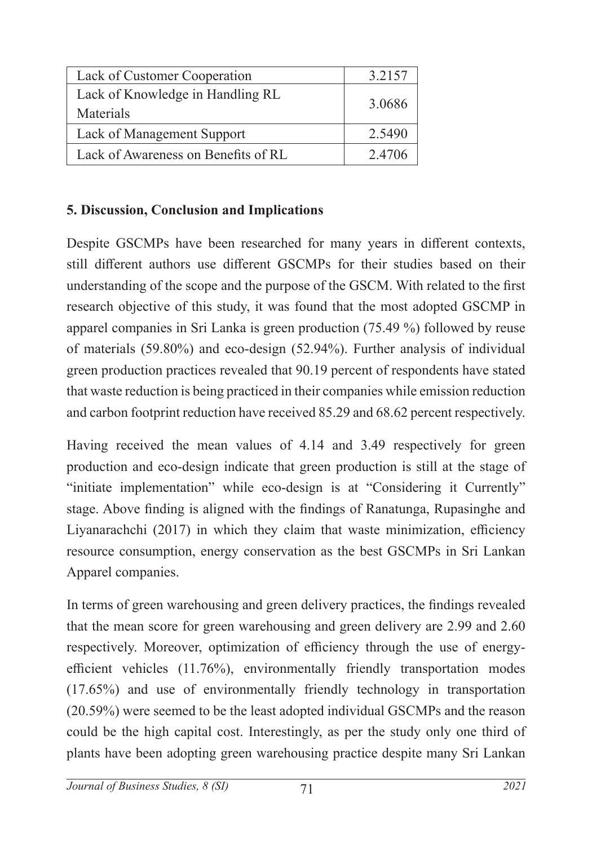| Lack of Customer Cooperation                  | 3.2157 |
|-----------------------------------------------|--------|
| Lack of Knowledge in Handling RL<br>Materials | 3.0686 |
| Lack of Management Support                    | 2.5490 |
| Lack of Awareness on Benefits of RL           | 2.4706 |

#### **5. Discussion, Conclusion and Implications**

Despite GSCMPs have been researched for many years in different contexts, still different authors use different GSCMPs for their studies based on their understanding of the scope and the purpose of the GSCM. With related to the first research objective of this study, it was found that the most adopted GSCMP in apparel companies in Sri Lanka is green production (75.49 %) followed by reuse of materials (59.80%) and eco-design (52.94%). Further analysis of individual green production practices revealed that 90.19 percent of respondents have stated that waste reduction is being practiced in their companies while emission reduction and carbon footprint reduction have received 85.29 and 68.62 percent respectively.

Having received the mean values of 4.14 and 3.49 respectively for green production and eco-design indicate that green production is still at the stage of "initiate implementation" while eco-design is at "Considering it Currently" stage. Above finding is aligned with the findings of Ranatunga, Rupasinghe and Liyanarachchi (2017) in which they claim that waste minimization, efficiency resource consumption, energy conservation as the best GSCMPs in Sri Lankan Apparel companies.

In terms of green warehousing and green delivery practices, the findings revealed that the mean score for green warehousing and green delivery are 2.99 and 2.60 respectively. Moreover, optimization of efficiency through the use of energyefficient vehicles (11.76%), environmentally friendly transportation modes (17.65%) and use of environmentally friendly technology in transportation (20.59%) were seemed to be the least adopted individual GSCMPs and the reason could be the high capital cost. Interestingly, as per the study only one third of plants have been adopting green warehousing practice despite many Sri Lankan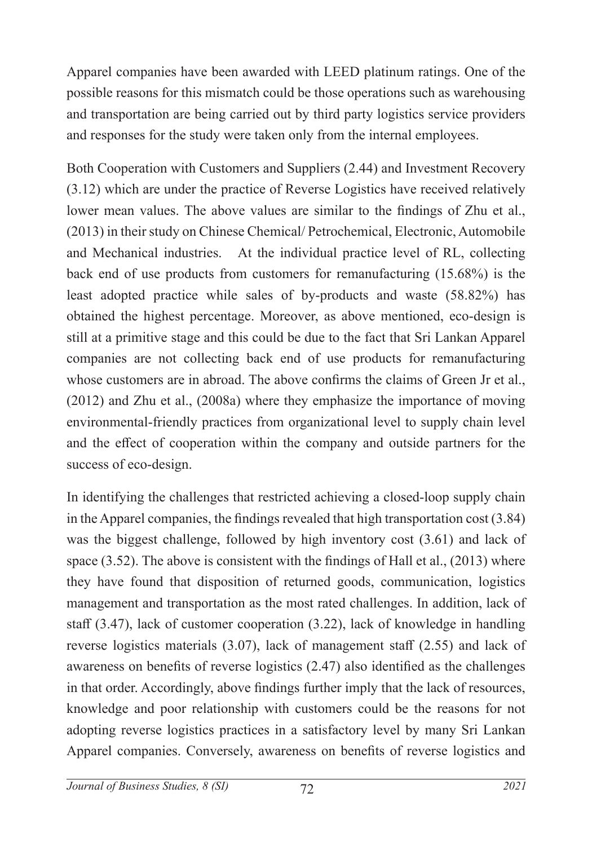Apparel companies have been awarded with LEED platinum ratings. One of the possible reasons for this mismatch could be those operations such as warehousing and transportation are being carried out by third party logistics service providers and responses for the study were taken only from the internal employees.

Both Cooperation with Customers and Suppliers (2.44) and Investment Recovery (3.12) which are under the practice of Reverse Logistics have received relatively lower mean values. The above values are similar to the findings of Zhu et al., (2013) in their study on Chinese Chemical/ Petrochemical, Electronic, Automobile and Mechanical industries. At the individual practice level of RL, collecting back end of use products from customers for remanufacturing (15.68%) is the least adopted practice while sales of by-products and waste (58.82%) has obtained the highest percentage. Moreover, as above mentioned, eco-design is still at a primitive stage and this could be due to the fact that Sri Lankan Apparel companies are not collecting back end of use products for remanufacturing whose customers are in abroad. The above confirms the claims of Green Jr et al., (2012) and Zhu et al., (2008a) where they emphasize the importance of moving environmental-friendly practices from organizational level to supply chain level and the effect of cooperation within the company and outside partners for the success of eco-design.

In identifying the challenges that restricted achieving a closed-loop supply chain in the Apparel companies, the findings revealed that high transportation cost (3.84) was the biggest challenge, followed by high inventory cost (3.61) and lack of space (3.52). The above is consistent with the findings of Hall et al., (2013) where they have found that disposition of returned goods, communication, logistics management and transportation as the most rated challenges. In addition, lack of staff (3.47), lack of customer cooperation (3.22), lack of knowledge in handling reverse logistics materials (3.07), lack of management staff (2.55) and lack of awareness on benefits of reverse logistics (2.47) also identified as the challenges in that order. Accordingly, above findings further imply that the lack of resources, knowledge and poor relationship with customers could be the reasons for not adopting reverse logistics practices in a satisfactory level by many Sri Lankan Apparel companies. Conversely, awareness on benefits of reverse logistics and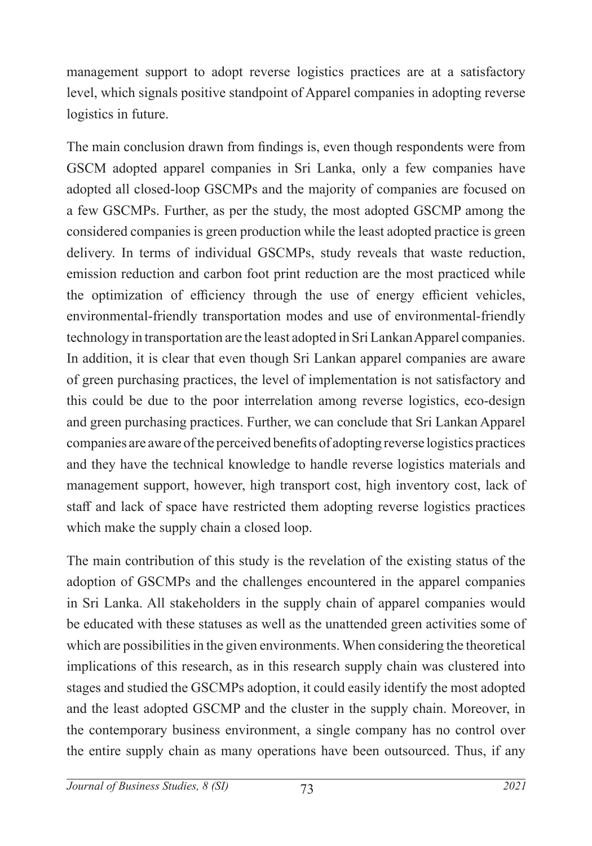management support to adopt reverse logistics practices are at a satisfactory level, which signals positive standpoint of Apparel companies in adopting reverse logistics in future.

The main conclusion drawn from findings is, even though respondents were from GSCM adopted apparel companies in Sri Lanka, only a few companies have adopted all closed-loop GSCMPs and the majority of companies are focused on a few GSCMPs. Further, as per the study, the most adopted GSCMP among the considered companies is green production while the least adopted practice is green delivery. In terms of individual GSCMPs, study reveals that waste reduction, emission reduction and carbon foot print reduction are the most practiced while the optimization of efficiency through the use of energy efficient vehicles, environmental-friendly transportation modes and use of environmental-friendly technology in transportation are the least adopted in Sri Lankan Apparel companies. In addition, it is clear that even though Sri Lankan apparel companies are aware of green purchasing practices, the level of implementation is not satisfactory and this could be due to the poor interrelation among reverse logistics, eco-design and green purchasing practices. Further, we can conclude that Sri Lankan Apparel companies are aware of the perceived benefits of adopting reverse logistics practices and they have the technical knowledge to handle reverse logistics materials and management support, however, high transport cost, high inventory cost, lack of staff and lack of space have restricted them adopting reverse logistics practices which make the supply chain a closed loop.

The main contribution of this study is the revelation of the existing status of the adoption of GSCMPs and the challenges encountered in the apparel companies in Sri Lanka. All stakeholders in the supply chain of apparel companies would be educated with these statuses as well as the unattended green activities some of which are possibilities in the given environments. When considering the theoretical implications of this research, as in this research supply chain was clustered into stages and studied the GSCMPs adoption, it could easily identify the most adopted and the least adopted GSCMP and the cluster in the supply chain. Moreover, in the contemporary business environment, a single company has no control over the entire supply chain as many operations have been outsourced. Thus, if any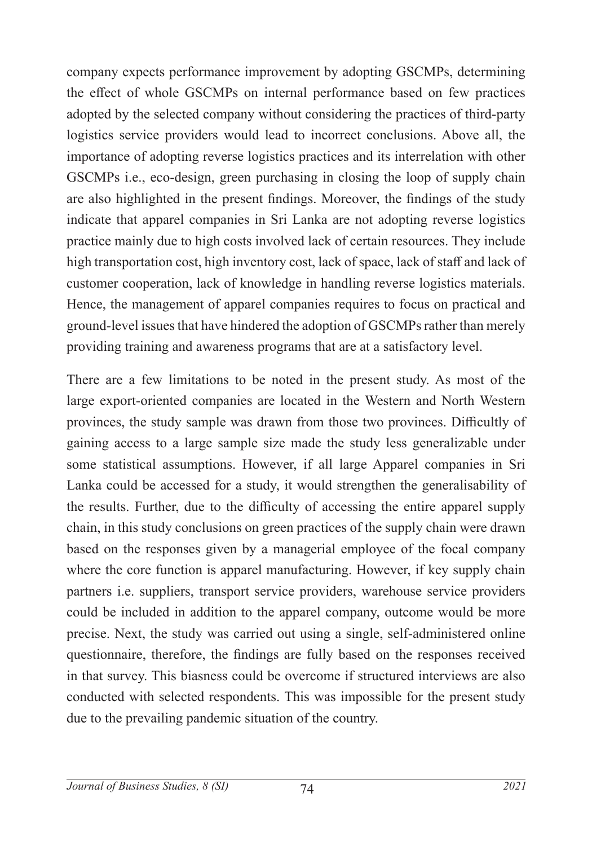company expects performance improvement by adopting GSCMPs, determining the effect of whole GSCMPs on internal performance based on few practices adopted by the selected company without considering the practices of third-party logistics service providers would lead to incorrect conclusions. Above all, the importance of adopting reverse logistics practices and its interrelation with other GSCMPs i.e., eco-design, green purchasing in closing the loop of supply chain are also highlighted in the present findings. Moreover, the findings of the study indicate that apparel companies in Sri Lanka are not adopting reverse logistics practice mainly due to high costs involved lack of certain resources. They include high transportation cost, high inventory cost, lack of space, lack of staff and lack of customer cooperation, lack of knowledge in handling reverse logistics materials. Hence, the management of apparel companies requires to focus on practical and ground-level issues that have hindered the adoption of GSCMPs rather than merely providing training and awareness programs that are at a satisfactory level.

There are a few limitations to be noted in the present study. As most of the large export-oriented companies are located in the Western and North Western provinces, the study sample was drawn from those two provinces. Difficultly of gaining access to a large sample size made the study less generalizable under some statistical assumptions. However, if all large Apparel companies in Sri Lanka could be accessed for a study, it would strengthen the generalisability of the results. Further, due to the difficulty of accessing the entire apparel supply chain, in this study conclusions on green practices of the supply chain were drawn based on the responses given by a managerial employee of the focal company where the core function is apparel manufacturing. However, if key supply chain partners i.e. suppliers, transport service providers, warehouse service providers could be included in addition to the apparel company, outcome would be more precise. Next, the study was carried out using a single, self-administered online questionnaire, therefore, the findings are fully based on the responses received in that survey. This biasness could be overcome if structured interviews are also conducted with selected respondents. This was impossible for the present study due to the prevailing pandemic situation of the country.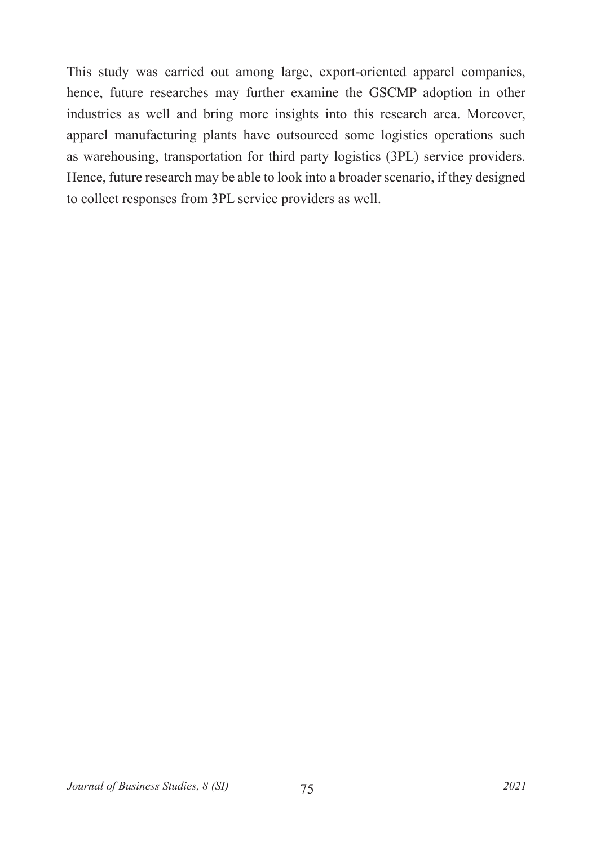This study was carried out among large, export-oriented apparel companies, hence, future researches may further examine the GSCMP adoption in other industries as well and bring more insights into this research area. Moreover, apparel manufacturing plants have outsourced some logistics operations such as warehousing, transportation for third party logistics (3PL) service providers. Hence, future research may be able to look into a broader scenario, if they designed to collect responses from 3PL service providers as well.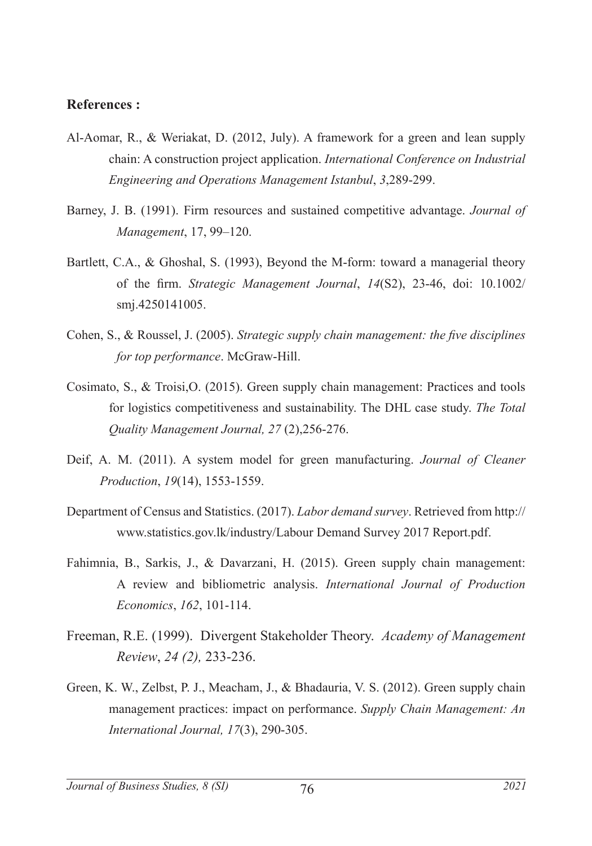#### **References :**

- Al-Aomar, R., & Weriakat, D. (2012, July). A framework for a green and lean supply chain: A construction project application. *International Conference on Industrial Engineering and Operations Management Istanbul*, *3*,289-299.
- Barney, J. B. (1991). Firm resources and sustained competitive advantage. *Journal of Management*, 17, 99–120.
- Bartlett, C.A., & Ghoshal, S. (1993), Beyond the M-form: toward a managerial theory of the firm. *Strategic Management Journal*, *14*(S2), 23-46, doi: 10.1002/ smj.4250141005.
- Cohen, S., & Roussel, J. (2005). *Strategic supply chain management: the five disciplines for top performance*. McGraw-Hill.
- Cosimato, S., & Troisi,O. (2015). Green supply chain management: Practices and tools for logistics competitiveness and sustainability. The DHL case study. *The Total Quality Management Journal, 27* (2),256-276.
- Deif, A. M. (2011). A system model for green manufacturing. *Journal of Cleaner Production*, *19*(14), 1553-1559.
- Department of Census and Statistics. (2017). *Labor demand survey*. Retrieved from http:// www.statistics.gov.lk/industry/Labour Demand Survey 2017 Report.pdf.
- Fahimnia, B., Sarkis, J., & Davarzani, H. (2015). Green supply chain management: A review and bibliometric analysis. *International Journal of Production Economics*, *162*, 101-114.
- Freeman, R.E. (1999). Divergent Stakeholder Theory. *Academy of Management Review*, *24 (2),* 233-236.
- Green, K. W., Zelbst, P. J., Meacham, J., & Bhadauria, V. S. (2012). Green supply chain management practices: impact on performance. *Supply Chain Management: An International Journal, 17*(3), 290-305.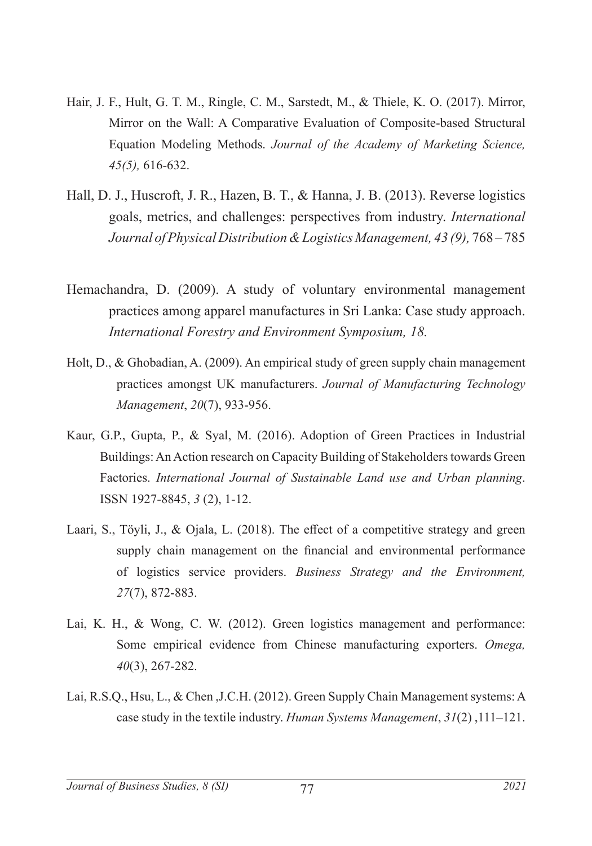- Hair, J. F., Hult, G. T. M., Ringle, C. M., Sarstedt, M., & Thiele, K. O. (2017). Mirror, Mirror on the Wall: A Comparative Evaluation of Composite-based Structural Equation Modeling Methods. *Journal of the Academy of Marketing Science, 45(5),* 616-632.
- Hall, D. J., Huscroft, J. R., Hazen, B. T., & Hanna, J. B. (2013). Reverse logistics goals, metrics, and challenges: perspectives from industry. *International Journal of Physical Distribution & Logistics Management, 43 (9),* 768 – 785
- Hemachandra, D. (2009). A study of voluntary environmental management practices among apparel manufactures in Sri Lanka: Case study approach. *International Forestry and Environment Symposium, 18.*
- Holt, D., & Ghobadian, A. (2009). An empirical study of green supply chain management practices amongst UK manufacturers. *Journal of Manufacturing Technology Management*, *20*(7), 933-956.
- Kaur, G.P., Gupta, P., & Syal, M. (2016). Adoption of Green Practices in Industrial Buildings: An Action research on Capacity Building of Stakeholders towards Green Factories. *International Journal of Sustainable Land use and Urban planning*. ISSN 1927-8845, *3* (2), 1-12.
- Laari, S., Töyli, J., & Ojala, L. (2018). The effect of a competitive strategy and green supply chain management on the financial and environmental performance of logistics service providers. *Business Strategy and the Environment, 27*(7), 872-883.
- Lai, K. H., & Wong, C. W. (2012). Green logistics management and performance: Some empirical evidence from Chinese manufacturing exporters. *Omega, 40*(3), 267-282.
- Lai, R.S.Q., Hsu, L., & Chen ,J.C.H. (2012). Green Supply Chain Management systems: A case study in the textile industry. *Human Systems Management*, *31*(2) ,111–121.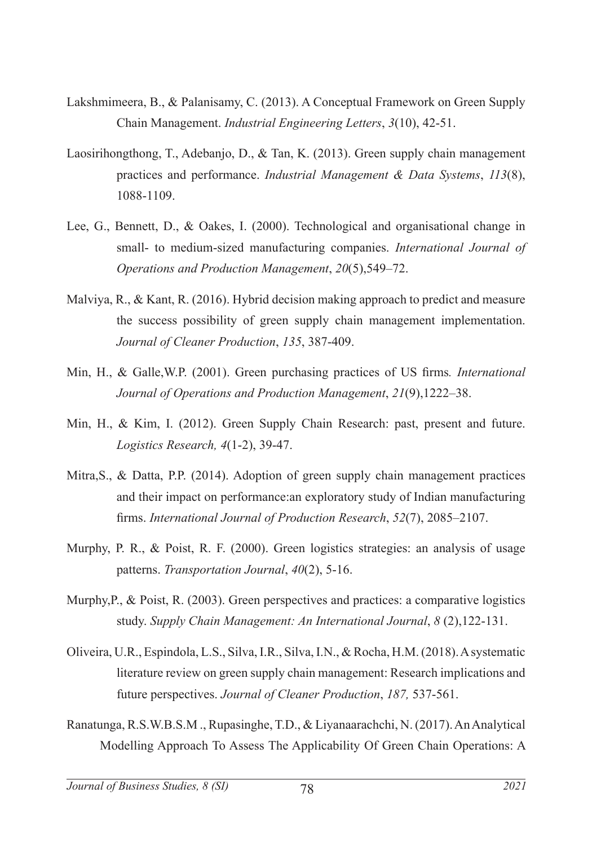- Lakshmimeera, B., & Palanisamy, C. (2013). A Conceptual Framework on Green Supply Chain Management. *Industrial Engineering Letters*, *3*(10), 42-51.
- Laosirihongthong, T., Adebanjo, D., & Tan, K. (2013). Green supply chain management practices and performance. *Industrial Management & Data Systems*, *113*(8), 1088-1109.
- Lee, G., Bennett, D., & Oakes, I. (2000). Technological and organisational change in small- to medium-sized manufacturing companies. *International Journal of Operations and Production Management*, *20*(5),549–72.
- Malviya, R., & Kant, R. (2016). Hybrid decision making approach to predict and measure the success possibility of green supply chain management implementation. *Journal of Cleaner Production*, *135*, 387-409.
- Min, H., & Galle,W.P. (2001). Green purchasing practices of US firms*. International Journal of Operations and Production Management*, *21*(9),1222–38.
- Min, H., & Kim, I. (2012). Green Supply Chain Research: past, present and future. *Logistics Research, 4*(1-2), 39-47.
- Mitra,S., & Datta, P.P. (2014). Adoption of green supply chain management practices and their impact on performance:an exploratory study of Indian manufacturing firms. *International Journal of Production Research*, *52*(7), 2085–2107.
- Murphy, P. R., & Poist, R. F. (2000). Green logistics strategies: an analysis of usage patterns. *Transportation Journal*, *40*(2), 5-16.
- Murphy,P., & Poist, R. (2003). Green perspectives and practices: a comparative logistics study. *Supply Chain Management: An International Journal*, *8* (2),122-131.
- Oliveira, U.R., Espindola, L.S., Silva, I.R., Silva, I.N., & Rocha, H.M. (2018). A systematic literature review on green supply chain management: Research implications and future perspectives. *Journal of Cleaner Production*, *187,* 537-561.
- Ranatunga, R.S.W.B.S.M ., Rupasinghe, T.D., & Liyanaarachchi, N. (2017). An Analytical Modelling Approach To Assess The Applicability Of Green Chain Operations: A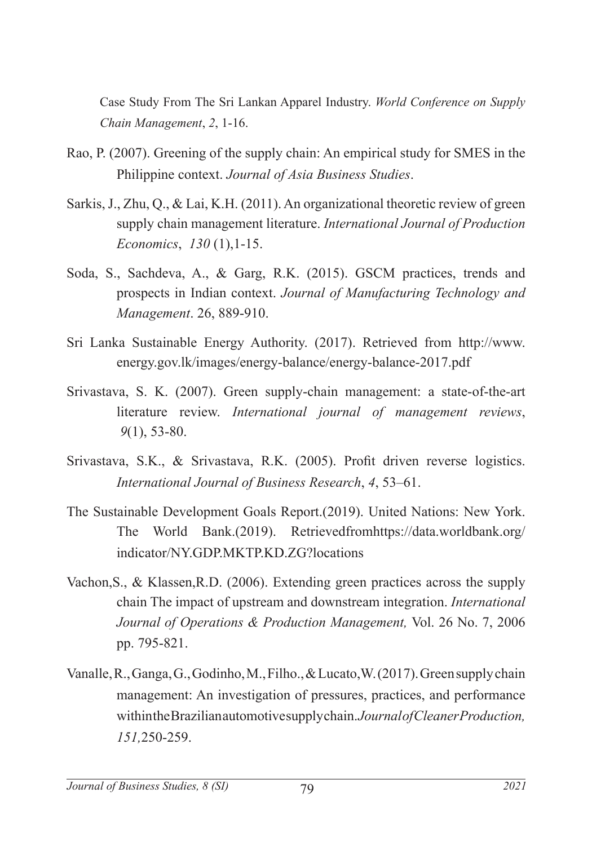Case Study From The Sri Lankan Apparel Industry. *World Conference on Supply Chain Management*, *2*, 1-16.

- Rao, P. (2007). Greening of the supply chain: An empirical study for SMES in the Philippine context. *Journal of Asia Business Studies*.
- Sarkis, J., Zhu, Q., & Lai, K.H. (2011). An organizational theoretic review of green supply chain management literature. *International Journal of Production Economics*, *130* (1),1-15.
- Soda, S., Sachdeva, A., & Garg, R.K. (2015). GSCM practices, trends and prospects in Indian context. *Journal of Manufacturing Technology and Management*. 26, 889-910.
- Sri Lanka Sustainable Energy Authority. (2017). Retrieved from http://www. energy.gov.lk/images/energy-balance/energy-balance-2017.pdf
- Srivastava, S. K. (2007). Green supply‐chain management: a state‐of‐the‐art literature review. *International journal of management reviews*, *9*(1), 53-80.
- Srivastava, S.K., & Srivastava, R.K. (2005). Profit driven reverse logistics. *International Journal of Business Research*, *4*, 53–61.
- The Sustainable Development Goals Report.(2019). United Nations: New York. The World Bank.(2019). Retrievedfromhttps://data.worldbank.org/ indicator/NY.GDP.MKTP.KD.ZG?locations
- Vachon,S., & Klassen,R.D. (2006). Extending green practices across the supply chain The impact of upstream and downstream integration. *International Journal of Operations & Production Management,* Vol. 26 No. 7, 2006 pp. 795-821.
- Vanalle, R., Ganga, G., Godinho, M., Filho., & Lucato,W. (2017). Green supply chain management: An investigation of pressures, practices, and performance within the Brazilian automotive supply chain. *Journal of Cleaner Production, 151,*250-259.